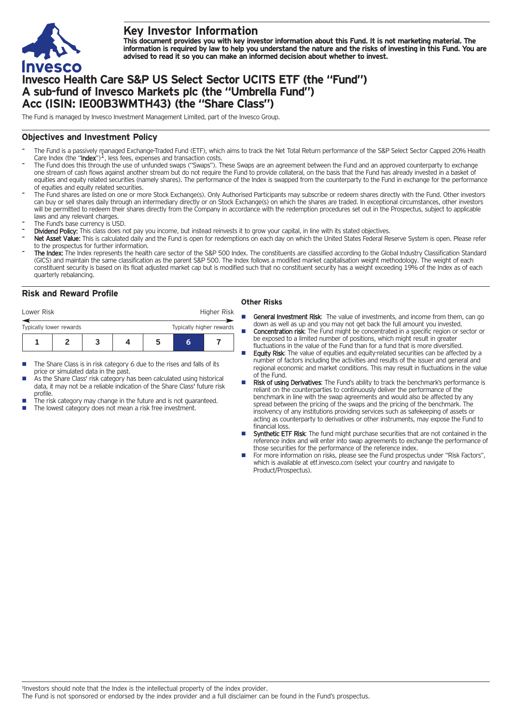

# **Key Investor Information**

This document provides you with key investor information about this Fund. It is not marketing material. The information is required by law to help you understand the nature and the risks of investing in this Fund. You are **advised to read it so you can make an informed decision about whether to invest.**

# **Invesco Health Care S&P US Select Sector UCITS ETF (the "Fund") A sub-fund of Invesco Markets plc (the "Umbrella Fund") Acc (ISIN: IE00B3WMTH43) (the "Share Class")**

The Fund is managed by Invesco Investment Management Limited, part of the Invesco Group.

## **Objectives and Investment Policy**

- The Fund is a passively managed Exchange-Traded Fund (ETF), which aims to track the Net Total Return performance of the S&P Select Sector Capped 20% Health<br>Care Index (the "**Index**")<sup>1</sup>, less fees, expenses and transaction
- The Fund does this through the use of unfunded swaps ("Swaps"). These Swaps are an agreement between the Fund and an approved counterparty to exchange one stream of cash flows against another stream but do not require the Fund to provide collateral, on the basis that the Fund has already invested in a basket of equities and equity related securities (namely shares). The performance of the Index is swapped from the counterparty to the Fund in exchange for the performance of equities and equity related securities.
- The Fund shares are listed on one or more Stock Exchange(s). Only Authorised Participants may subscribe or redeem shares directly with the Fund. Other investors can buy or sell shares daily through an intermediary directly or on Stock Exchange(s) on which the shares are traded. In exceptional circumstances, other investors will be permitted to redeem their shares directly from the Company in accordance with the redemption procedures set out in the Prospectus, subject to applicable laws and any relevant charges.
- The Fund's base currency is USD.
- Dividend Policy: This class does not pay you income, but instead reinvests it to grow your capital, in line with its stated objectives.
- Net Asset Value: This is calculated daily and the Fund is open for redemptions on each day on which the United States Federal Reserve System is open. Please refer to the prospectus for further information.
- The Index: The Index represents the health care sector of the S&P 500 Index. The constituents are classified according to the Global Industry Classification Standard (GICS) and maintain the same classification as the parent S&P 500. The Index follows a modified market capitalisation weight methodology. The weight of each constituent security is based on its float adjusted market cap but is modified such that no constituent security has a weight exceeding 19% of the Index as of each quarterly rebalancing.

## **Risk and Reward Profile**

| Lower Risk              |  |  |  |   |                          | Higher Risk |  |
|-------------------------|--|--|--|---|--------------------------|-------------|--|
| Typically lower rewards |  |  |  |   | Typically higher rewards |             |  |
|                         |  |  |  | ב | h                        |             |  |

- The Share Class is in risk category 6 due to the rises and falls of its price or simulated data in the past.
- As the Share Class' risk category has been calculated using historical data, it may not be a reliable indication of the Share Class' future risk profile.
- The risk category may change in the future and is not guaranteed.
- The lowest category does not mean a risk free investment.

### **Other Risks**

- General Investment Risk: The value of investments, and income from them, can go down as well as up and you may not get back the full amount you invested.
- **Concentration risk:** The Fund might be concentrated in a specific region or sector or be exposed to a limited number of positions, which might result in greater fluctuations in the value of the Fund than for a fund that is more diversified.
- Equity Risk: The value of equities and equity-related securities can be affected by a number of factors including the activities and results of the issuer and general and regional economic and market conditions. This may result in fluctuations in the value of the Fund.
- Risk of using Derivatives: The Fund's ability to track the benchmark's performance is reliant on the counterparties to continuously deliver the performance of the benchmark in line with the swap agreements and would also be affected by any spread between the pricing of the swaps and the pricing of the benchmark. The insolvency of any institutions providing services such as safekeeping of assets or acting as counterparty to derivatives or other instruments, may expose the Fund to financial loss.
- Synthetic ETF Risk: The fund might purchase securities that are not contained in the reference index and will enter into swap agreements to exchange the performance of those securities for the performance of the reference index.
- For more information on risks, please see the Fund prospectus under "Risk Factors", which is available at etf.invesco.com (select your country and navigate to Product/Prospectus).